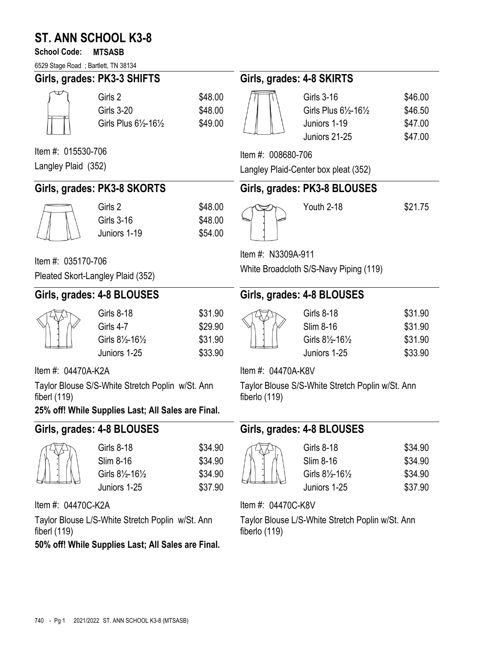# **ST. ANN SCHOOL K3-8**

#### **School Code: MTSASB**

6529 Stage Road ; Bartlett, TN 38134

| 6529 Stage Road; Bartlett, TN 38134                                                                                      |                                                                    |                                          |                                        |                                                                                                   |                                          |
|--------------------------------------------------------------------------------------------------------------------------|--------------------------------------------------------------------|------------------------------------------|----------------------------------------|---------------------------------------------------------------------------------------------------|------------------------------------------|
|                                                                                                                          | Girls, grades: PK3-3 SHIFTS                                        |                                          | Girls, grades: 4-8 SKIRTS              |                                                                                                   |                                          |
|                                                                                                                          | Girls 2<br><b>Girls 3-20</b><br>Girls Plus 61/2-161/2              | \$48.00<br>\$48.00<br>\$49.00            |                                        | <b>Girls 3-16</b><br>Girls Plus $6\frac{1}{2}$ -16 $\frac{1}{2}$<br>Juniors 1-19<br>Juniors 21-25 | \$46.00<br>\$46.50<br>\$47.00<br>\$47.00 |
| Item #: 015530-706                                                                                                       |                                                                    |                                          | Item #: 008680-706                     |                                                                                                   |                                          |
| Langley Plaid (352)                                                                                                      |                                                                    |                                          |                                        | Langley Plaid-Center box pleat (352)                                                              |                                          |
|                                                                                                                          | Girls, grades: PK3-8 SKORTS                                        |                                          |                                        | Girls, grades: PK3-8 BLOUSES                                                                      |                                          |
|                                                                                                                          | Girls 2<br><b>Girls 3-16</b><br>Juniors 1-19                       | \$48.00<br>\$48.00<br>\$54.00            |                                        | Youth 2-18                                                                                        | \$21.75                                  |
| Item #: 035170-706                                                                                                       |                                                                    |                                          | Item #: N3309A-911                     |                                                                                                   |                                          |
|                                                                                                                          | Pleated Skort-Langley Plaid (352)                                  |                                          | White Broadcloth S/S-Navy Piping (119) |                                                                                                   |                                          |
|                                                                                                                          | Girls, grades: 4-8 BLOUSES                                         |                                          | Girls, grades: 4-8 BLOUSES             |                                                                                                   |                                          |
|                                                                                                                          | <b>Girls 8-18</b><br>Girls 4-7<br>Girls 81/2-161/2<br>Juniors 1-25 | \$31.90<br>\$29.90<br>\$31.90<br>\$33.90 |                                        | <b>Girls 8-18</b><br>Slim 8-16<br>Girls 81/2-161/2<br>Juniors 1-25                                | \$31.90<br>\$31.90<br>\$31.90<br>\$33.90 |
| Item #: 04470A-K2A                                                                                                       |                                                                    |                                          | Item #: 04470A-K8V                     |                                                                                                   |                                          |
| Taylor Blouse S/S-White Stretch Poplin w/St. Ann<br>fiberl $(119)$<br>25% off! While Supplies Last; All Sales are Final. |                                                                    |                                          | fiberlo (119)                          | Taylor Blouse S/S-White Stretch Poplin w/St. Ann                                                  |                                          |

# **Girls, grades: 4-8 BLOUSES**

| Girls 8-18                             | \$34.90 |
|----------------------------------------|---------|
| Slim 8-16                              | \$34.90 |
| Girls $8\frac{1}{2}$ -16 $\frac{1}{2}$ | \$34.90 |
| Juniors 1-25                           | \$37.90 |

Item #: 04470C-K2A

Taylor Blouse L/S-White Stretch Poplin w/St. Ann fiberl (119)

**50% off! While Supplies Last; All Sales are Final.** 

# **Girls, grades: 4-8 BLOUSES**

| Girls 8-18       | \$34.90 |
|------------------|---------|
| Slim 8-16        | \$34.90 |
| Girls 81/2-161/2 | \$34.90 |
| Juniors 1-25     | \$37.90 |

Item #: 04470C-K8V

Taylor Blouse L/S-White Stretch Poplin w/St. Ann fiberlo (119)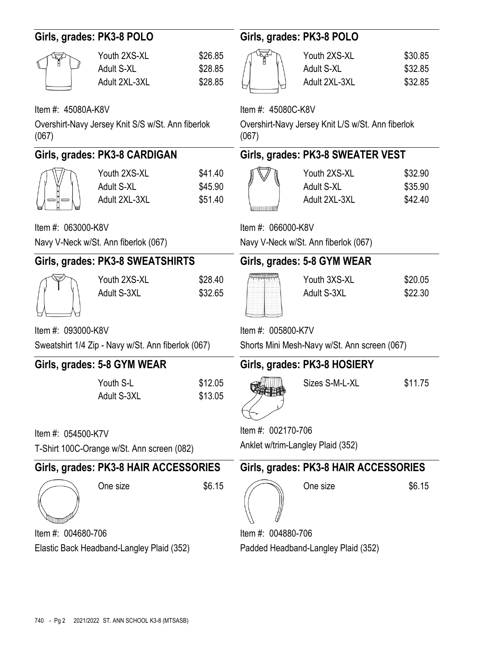| Girls, grades: PK3-8 POLO                 |                                                    |                               | Girls, grades: PK3-8 POLO           |                                                   |                               |  |
|-------------------------------------------|----------------------------------------------------|-------------------------------|-------------------------------------|---------------------------------------------------|-------------------------------|--|
|                                           | Youth 2XS-XL<br><b>Adult S-XL</b><br>Adult 2XL-3XL | \$26.85<br>\$28.85<br>\$28.85 |                                     | Youth 2XS-XL<br>Adult S-XL<br>Adult 2XL-3XL       | \$30.85<br>\$32.85<br>\$32.85 |  |
| Item #: 45080A-K8V                        |                                                    |                               | Item #: 45080C-K8V                  |                                                   |                               |  |
| (067)                                     | Overshirt-Navy Jersey Knit S/S w/St. Ann fiberlok  |                               | (067)                               | Overshirt-Navy Jersey Knit L/S w/St. Ann fiberlok |                               |  |
|                                           | Girls, grades: PK3-8 CARDIGAN                      |                               |                                     | Girls, grades: PK3-8 SWEATER VEST                 |                               |  |
|                                           | Youth 2XS-XL<br><b>Adult S-XL</b><br>Adult 2XL-3XL | \$41.40<br>\$45.90<br>\$51.40 |                                     | Youth 2XS-XL<br>Adult S-XL<br>Adult 2XL-3XL       | \$32.90<br>\$35.90<br>\$42.40 |  |
| Item #: 063000-K8V                        |                                                    |                               | Item #: 066000-K8V                  |                                                   |                               |  |
|                                           | Navy V-Neck w/St. Ann fiberlok (067)               |                               |                                     | Navy V-Neck w/St. Ann fiberlok (067)              |                               |  |
|                                           | Girls, grades: PK3-8 SWEATSHIRTS                   |                               | Girls, grades: 5-8 GYM WEAR         |                                                   |                               |  |
|                                           | Youth 2XS-XL<br>Adult S-3XL                        | \$28.40<br>\$32.65            |                                     | Youth 3XS-XL<br>Adult S-3XL                       | \$20.05<br>\$22.30            |  |
| Item #: 093000-K8V                        |                                                    |                               |                                     | Item #: 005800-K7V                                |                               |  |
|                                           | Sweatshirt 1/4 Zip - Navy w/St. Ann fiberlok (067) |                               |                                     | Shorts Mini Mesh-Navy w/St. Ann screen (067)      |                               |  |
|                                           | Girls, grades: 5-8 GYM WEAR                        |                               |                                     | Girls, grades: PK3-8 HOSIERY                      |                               |  |
|                                           | Youth S-L<br>Adult S-3XL                           | \$12.05<br>\$13.05            |                                     | Sizes S-M-L-XL                                    | \$11.75                       |  |
| Item #: 054500-K7V                        |                                                    |                               | Item #: 002170-706                  |                                                   |                               |  |
|                                           | T-Shirt 100C-Orange w/St. Ann screen (082)         |                               | Anklet w/trim-Langley Plaid (352)   |                                                   |                               |  |
|                                           | Girls, grades: PK3-8 HAIR ACCESSORIES              |                               |                                     | Girls, grades: PK3-8 HAIR ACCESSORIES             |                               |  |
|                                           | One size                                           | \$6.15                        |                                     | One size                                          | \$6.15                        |  |
| Item #: 004680-706                        |                                                    |                               | Item #: 004880-706                  |                                                   |                               |  |
| Elastic Back Headband-Langley Plaid (352) |                                                    |                               | Padded Headband-Langley Plaid (352) |                                                   |                               |  |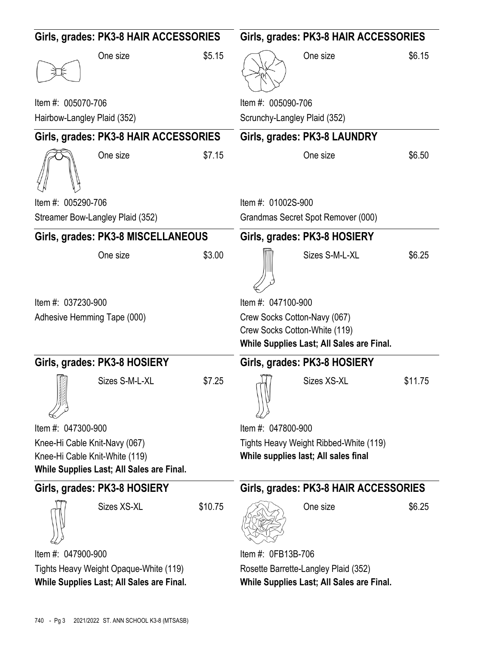| Girls, grades: PK3-8 HAIR ACCESSORIES                                               |                                           | Girls, grades: PK3-8 HAIR ACCESSORIES |                                                                                                            |                                       |         |
|-------------------------------------------------------------------------------------|-------------------------------------------|---------------------------------------|------------------------------------------------------------------------------------------------------------|---------------------------------------|---------|
|                                                                                     | One size                                  | \$5.15                                |                                                                                                            | One size                              | \$6.15  |
| Item #: 005070-706                                                                  |                                           |                                       | Item #: 005090-706                                                                                         |                                       |         |
| Hairbow-Langley Plaid (352)                                                         |                                           |                                       | Scrunchy-Langley Plaid (352)                                                                               |                                       |         |
|                                                                                     | Girls, grades: PK3-8 HAIR ACCESSORIES     |                                       |                                                                                                            | Girls, grades: PK3-8 LAUNDRY          |         |
|                                                                                     | One size                                  | \$7.15                                |                                                                                                            | One size                              | \$6.50  |
| Item #: 005290-706                                                                  |                                           |                                       | Item #: 01002S-900                                                                                         |                                       |         |
|                                                                                     | Streamer Bow-Langley Plaid (352)          |                                       |                                                                                                            | Grandmas Secret Spot Remover (000)    |         |
|                                                                                     | Girls, grades: PK3-8 MISCELLANEOUS        |                                       |                                                                                                            | Girls, grades: PK3-8 HOSIERY          |         |
|                                                                                     | One size                                  | \$3.00                                |                                                                                                            | Sizes S-M-L-XL                        | \$6.25  |
| Item #: 037230-900                                                                  |                                           |                                       | Item #: 047100-900                                                                                         |                                       |         |
| Adhesive Hemming Tape (000)                                                         |                                           |                                       | Crew Socks Cotton-Navy (067)<br>Crew Socks Cotton-White (119)<br>While Supplies Last; All Sales are Final. |                                       |         |
|                                                                                     | Girls, grades: PK3-8 HOSIERY              |                                       |                                                                                                            | Girls, grades: PK3-8 HOSIERY          |         |
|                                                                                     | Sizes S-M-L-XL                            | \$7.25                                |                                                                                                            | Sizes XS-XL                           |         |
|                                                                                     |                                           |                                       |                                                                                                            |                                       | \$11.75 |
| Item #: 047300-900                                                                  |                                           |                                       | Item #: 047800-900                                                                                         |                                       |         |
| Knee-Hi Cable Knit-Navy (067)                                                       |                                           |                                       | Tights Heavy Weight Ribbed-White (119)                                                                     |                                       |         |
| Knee-Hi Cable Knit-White (119)                                                      |                                           |                                       |                                                                                                            | While supplies last; All sales final  |         |
|                                                                                     | While Supplies Last; All Sales are Final. |                                       |                                                                                                            |                                       |         |
|                                                                                     | Girls, grades: PK3-8 HOSIERY              |                                       |                                                                                                            | Girls, grades: PK3-8 HAIR ACCESSORIES |         |
|                                                                                     | Sizes XS-XL                               | \$10.75                               |                                                                                                            | One size                              | \$6.25  |
| Item #: 047900-900                                                                  |                                           |                                       | Item #: 0FB13B-706                                                                                         |                                       |         |
| Tights Heavy Weight Opaque-White (119)<br>While Supplies Last; All Sales are Final. |                                           |                                       | Rosette Barrette-Langley Plaid (352)<br>While Supplies Last; All Sales are Final.                          |                                       |         |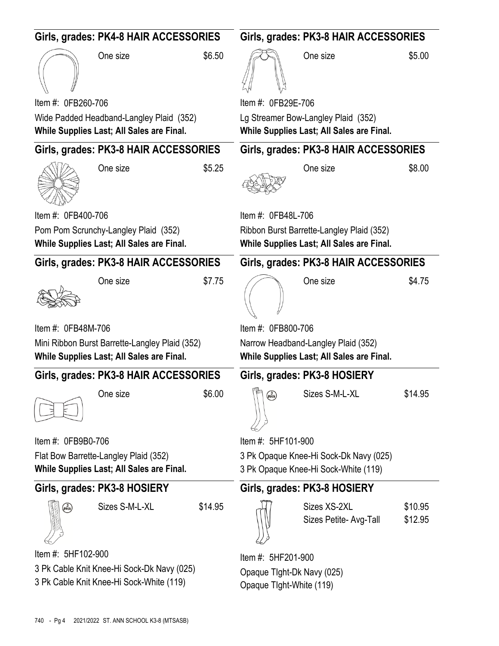| Girls, grades: PK4-8 HAIR ACCESSORIES                                                       |                                                                                        |         | Girls, grades: PK3-8 HAIR ACCESSORIES                                            |                                                                                        |                    |  |
|---------------------------------------------------------------------------------------------|----------------------------------------------------------------------------------------|---------|----------------------------------------------------------------------------------|----------------------------------------------------------------------------------------|--------------------|--|
|                                                                                             | One size                                                                               | \$6.50  |                                                                                  | One size                                                                               | \$5.00             |  |
| Item #: 0FB260-706                                                                          |                                                                                        |         | Item #: 0FB29E-706                                                               |                                                                                        |                    |  |
|                                                                                             | Wide Padded Headband-Langley Plaid (352)<br>While Supplies Last; All Sales are Final.  |         |                                                                                  | Lg Streamer Bow-Langley Plaid (352)<br>While Supplies Last; All Sales are Final.       |                    |  |
|                                                                                             | Girls, grades: PK3-8 HAIR ACCESSORIES                                                  |         |                                                                                  | Girls, grades: PK3-8 HAIR ACCESSORIES                                                  |                    |  |
|                                                                                             | One size                                                                               | \$5.25  |                                                                                  | One size                                                                               | \$8.00             |  |
| Item #: 0FB400-706                                                                          |                                                                                        |         | Item #: 0FB48L-706                                                               |                                                                                        |                    |  |
|                                                                                             | Pom Pom Scrunchy-Langley Plaid (352)<br>While Supplies Last; All Sales are Final.      |         |                                                                                  | Ribbon Burst Barrette-Langley Plaid (352)<br>While Supplies Last; All Sales are Final. |                    |  |
|                                                                                             | Girls, grades: PK3-8 HAIR ACCESSORIES                                                  |         |                                                                                  | Girls, grades: PK3-8 HAIR ACCESSORIES                                                  |                    |  |
|                                                                                             | One size                                                                               | \$7.75  |                                                                                  | One size                                                                               | \$4.75             |  |
| Item #: 0FB48M-706                                                                          |                                                                                        |         | Item #: 0FB800-706                                                               |                                                                                        |                    |  |
| Mini Ribbon Burst Barrette-Langley Plaid (352)<br>While Supplies Last; All Sales are Final. |                                                                                        |         | Narrow Headband-Langley Plaid (352)<br>While Supplies Last; All Sales are Final. |                                                                                        |                    |  |
|                                                                                             | Girls, grades: PK3-8 HAIR ACCESSORIES                                                  |         |                                                                                  | Girls, grades: PK3-8 HOSIERY                                                           |                    |  |
|                                                                                             | One size                                                                               | \$6.00  | $\sqrt{\frac{3}{2}}$                                                             | Sizes S-M-L-XL                                                                         | \$14.95            |  |
| Item #: 0FB9B0-706                                                                          |                                                                                        |         | Item #: 5HF101-900                                                               |                                                                                        |                    |  |
|                                                                                             | Flat Bow Barrette-Langley Plaid (352)<br>While Supplies Last; All Sales are Final.     |         |                                                                                  | 3 Pk Opaque Knee-Hi Sock-Dk Navy (025)<br>3 Pk Opaque Knee-Hi Sock-White (119)         |                    |  |
|                                                                                             | Girls, grades: PK3-8 HOSIERY                                                           |         |                                                                                  | Girls, grades: PK3-8 HOSIERY                                                           |                    |  |
| $\binom{3}{\text{pack}}$                                                                    | Sizes S-M-L-XL                                                                         | \$14.95 |                                                                                  | Sizes XS-2XL<br>Sizes Petite- Avg-Tall                                                 | \$10.95<br>\$12.95 |  |
| Item #: 5HF102-900                                                                          |                                                                                        |         | Item #: 5HF201-900                                                               |                                                                                        |                    |  |
|                                                                                             | 3 Pk Cable Knit Knee-Hi Sock-Dk Navy (025)<br>3 Pk Cable Knit Knee-Hi Sock-White (119) |         | Opaque Tight-Dk Navy (025)<br>Opaque Tlght-White (119)                           |                                                                                        |                    |  |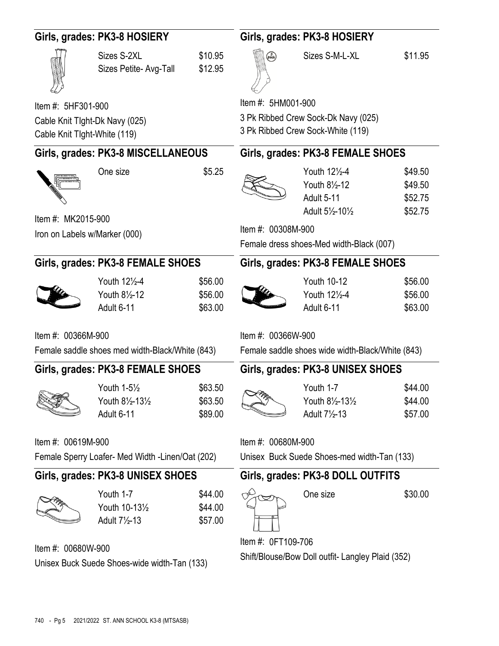| Girls, grades: PK3-8 HOSIERY  |                                                   |                    | Girls, grades: PK3-8 HOSIERY                      |                                                  |                    |  |
|-------------------------------|---------------------------------------------------|--------------------|---------------------------------------------------|--------------------------------------------------|--------------------|--|
|                               | Sizes S-2XL<br>Sizes Petite- Avg-Tall             | \$10.95<br>\$12.95 | $\binom{3}{\text{pack}}$                          | Sizes S-M-L-XL                                   | \$11.95            |  |
| Item #: 5HF301-900            |                                                   |                    | Item #: 5HM001-900                                |                                                  |                    |  |
|                               | Cable Knit Tlght-Dk Navy (025)                    |                    |                                                   | 3 Pk Ribbed Crew Sock-Dk Navy (025)              |                    |  |
| Cable Knit Tlght-White (119)  |                                                   |                    |                                                   | 3 Pk Ribbed Crew Sock-White (119)                |                    |  |
|                               | Girls, grades: PK3-8 MISCELLANEOUS                |                    |                                                   | Girls, grades: PK3-8 FEMALE SHOES                |                    |  |
|                               | One size                                          | \$5.25             |                                                   | Youth 121/2-4                                    | \$49.50            |  |
|                               |                                                   |                    |                                                   | Youth 81/2-12                                    | \$49.50            |  |
|                               |                                                   |                    |                                                   | <b>Adult 5-11</b>                                | \$52.75            |  |
| Item #: MK2015-900            |                                                   |                    |                                                   | Adult 51/2-101/2                                 | \$52.75            |  |
| Iron on Labels w/Marker (000) |                                                   |                    | Item #: 00308M-900                                |                                                  |                    |  |
|                               |                                                   |                    | Female dress shoes-Med width-Black (007)          |                                                  |                    |  |
|                               | Girls, grades: PK3-8 FEMALE SHOES                 |                    |                                                   | Girls, grades: PK3-8 FEMALE SHOES                |                    |  |
|                               | Youth 121/2-4                                     | \$56.00            |                                                   | <b>Youth 10-12</b>                               | \$56.00            |  |
|                               | Youth 81/2-12                                     | \$56.00            |                                                   | Youth 121/2-4                                    | \$56.00            |  |
|                               | Adult 6-11                                        | \$63.00            |                                                   | Adult 6-11                                       | \$63.00            |  |
| Item #: 00366M-900            |                                                   |                    | Item #: 00366W-900                                |                                                  |                    |  |
|                               | Female saddle shoes med width-Black/White (843)   |                    |                                                   | Female saddle shoes wide width-Black/White (843) |                    |  |
|                               | Girls, grades: PK3-8 FEMALE SHOES                 |                    | Girls, grades: PK3-8 UNISEX SHOES                 |                                                  |                    |  |
|                               |                                                   |                    |                                                   |                                                  |                    |  |
|                               | Youth 1-51/2<br>Youth 81/2-131/2                  | \$63.50<br>\$63.50 |                                                   | Youth 1-7<br>Youth 81/2-131/2                    | \$44.00<br>\$44.00 |  |
|                               | Adult 6-11                                        | \$89.00            |                                                   | Adult 71/2-13                                    | \$57.00            |  |
|                               |                                                   |                    |                                                   |                                                  |                    |  |
| Item #: 00619M-900            |                                                   |                    | Item #: 00680M-900                                |                                                  |                    |  |
|                               | Female Sperry Loafer- Med Width - Linen/Oat (202) |                    |                                                   | Unisex Buck Suede Shoes-med width-Tan (133)      |                    |  |
|                               | Girls, grades: PK3-8 UNISEX SHOES                 |                    |                                                   | Girls, grades: PK3-8 DOLL OUTFITS                |                    |  |
|                               | Youth 1-7                                         | \$44.00            |                                                   | One size                                         | \$30.00            |  |
|                               | Youth 10-131/2                                    | \$44.00            |                                                   |                                                  |                    |  |
|                               | Adult 7 <sup>1</sup> / <sub>2</sub> -13           | \$57.00            |                                                   |                                                  |                    |  |
| Item #: 00680W-900            |                                                   |                    | Item #: 0FT109-706                                |                                                  |                    |  |
|                               |                                                   |                    | Shift/Blouse/Bow Doll outfit- Langley Plaid (352) |                                                  |                    |  |
|                               | Unisex Buck Suede Shoes-wide width-Tan (133)      |                    |                                                   |                                                  |                    |  |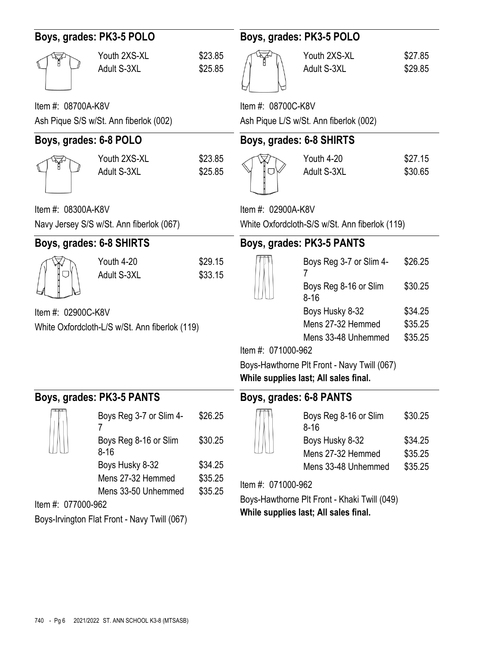| Boys, grades: PK3-5 POLO                                             |                                          |                    | Boys, grades: PK3-5 POLO                     |                                                                                      |                               |
|----------------------------------------------------------------------|------------------------------------------|--------------------|----------------------------------------------|--------------------------------------------------------------------------------------|-------------------------------|
|                                                                      | Youth 2XS-XL<br>Adult S-3XL              | \$23.85<br>\$25.85 |                                              | Youth 2XS-XL<br>Adult S-3XL                                                          | \$27.85<br>\$29.85            |
| Item #: 08700A-K8V                                                   |                                          |                    | Item #: 08700C-K8V                           |                                                                                      |                               |
|                                                                      | Ash Pique S/S w/St. Ann fiberlok (002)   |                    |                                              | Ash Pique L/S w/St. Ann fiberlok (002)                                               |                               |
| Boys, grades: 6-8 POLO                                               |                                          |                    | Boys, grades: 6-8 SHIRTS                     |                                                                                      |                               |
|                                                                      | Youth 2XS-XL<br>Adult S-3XL              | \$23.85<br>\$25.85 |                                              | Youth 4-20<br>Adult S-3XL                                                            | \$27.15<br>\$30.65            |
| Item #: 08300A-K8V                                                   |                                          |                    | Item #: 02900A-K8V                           |                                                                                      |                               |
|                                                                      | Navy Jersey S/S w/St. Ann fiberlok (067) |                    |                                              | White Oxfordcloth-S/S w/St. Ann fiberlok (119)                                       |                               |
| Boys, grades: 6-8 SHIRTS                                             |                                          |                    |                                              | Boys, grades: PK3-5 PANTS                                                            |                               |
|                                                                      | Youth 4-20<br>Adult S-3XL                | \$29.15<br>\$33.15 |                                              | Boys Reg 3-7 or Slim 4-<br>7                                                         | \$26.25                       |
|                                                                      |                                          |                    |                                              | Boys Reg 8-16 or Slim<br>$8 - 16$                                                    | \$30.25                       |
| Item #: 02900C-K8V<br>White Oxfordcloth-L/S w/St. Ann fiberlok (119) |                                          |                    | Item #: 071000-962                           | Boys Husky 8-32<br>Mens 27-32 Hemmed<br>Mens 33-48 Unhemmed                          | \$34.25<br>\$35.25<br>\$35.25 |
|                                                                      |                                          |                    |                                              | Boys-Hawthorne Plt Front - Navy Twill (067)<br>While supplies last; All sales final. |                               |
|                                                                      | Boys, grades: PK3-5 PANTS                |                    | Boys, grades: 6-8 PANTS                      |                                                                                      |                               |
|                                                                      | Boys Reg 3-7 or Slim 4-                  | \$26.25            |                                              | Boys Reg 8-16 or Slim<br>$8 - 16$                                                    | \$30.25                       |
|                                                                      | Boys Reg 8-16 or Slim<br>$8 - 16$        | \$30.25            |                                              | Boys Husky 8-32<br>Mens 27-32 Hemmed                                                 | \$34.25<br>\$35.25            |
|                                                                      | Boys Husky 8-32                          | \$34.25            |                                              | Mens 33-48 Unhemmed                                                                  | \$35.25                       |
|                                                                      | Mens 27-32 Hemmed                        | \$35.25            | Item #: 071000-962                           |                                                                                      |                               |
| \$35.25<br>Mens 33-50 Unhemmed<br>Item #: 077000-962                 |                                          |                    | Boys-Hawthorne Plt Front - Khaki Twill (049) |                                                                                      |                               |
| Boys-Irvington Flat Front - Navy Twill (067)                         |                                          |                    |                                              | While supplies last; All sales final.                                                |                               |
|                                                                      |                                          |                    |                                              |                                                                                      |                               |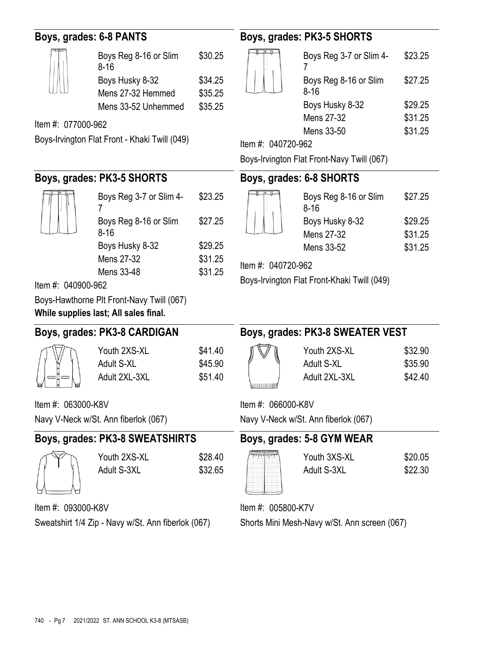## **Boys, grades: 6-8 PANTS**

| Boys Reg 8-16 or Slim<br>$8 - 16$ | \$30.25 |
|-----------------------------------|---------|
| Boys Husky 8-32                   | \$34.25 |
| Mens 27-32 Hemmed                 | \$35.25 |
| Mens 33-52 Unhemmed               | \$35.25 |

Boys Reg 3-7 or Slim 4-

Boys Reg 8-16 or Slim

Boys Husky 8-32 \$29.25 Mens 27-32 \$31.25 Mens 33-48 \$31.25

Item #: 077000-962

Boys-Irvington Flat Front - Khaki Twill (049)

**Boys, grades: PK3-5 SHORTS**

7

8-16

# **Boys, grades: PK3-5 SHORTS**

| Boys Reg 3-7 or Slim 4-           | \$23.25 |
|-----------------------------------|---------|
| Boys Reg 8-16 or Slim<br>$8 - 16$ | \$27.25 |
| Boys Husky 8-32                   | \$29.25 |
| Mens 27-32                        | \$31.25 |
| Mens 33-50                        | \$31.25 |

Item #: 040720-962

Boys-Irvington Flat Front-Navy Twill (067)

### **Boys, grades: 6-8 SHORTS**

| Boys Reg 8-16 or Slim<br>$8 - 16$ | \$27.25 |
|-----------------------------------|---------|
| Boys Husky 8-32                   | \$29.25 |
| Mens 27-32                        | \$31.25 |
| Mens 33-52                        | \$31.25 |

Item #: 040720-962

Boys-Irvington Flat Front-Khaki Twill (049)

Item #: 040900-962

Boys-Hawthorne Plt Front-Navy Twill (067)

**While supplies last; All sales final.**

Navy V-Neck w/St. Ann fiberlok (067)

## **Boys, grades: PK3-8 CARDIGAN**



Item #: 063000-K8V

| Youth 2XS-XL  |  |
|---------------|--|
| Adult S-XL    |  |
| Adult 2XL-3XL |  |
|               |  |

**Boys, grades: PK3-8 SWEATER VEST**

Youth 2XS-XL \$32.90 Adult S-XL \$35.90 Adult 2XL-3XL \$42.40

Item #: 066000-K8V

Navy V-Neck w/St. Ann fiberlok (067)

#### **Boys, grades: PK3-8 SWEATSHIRTS Boys, grades: 5-8 GYM WEAR**



 $\mu$  0930000- $\mu$ 

Youth 2XS-XL \$28.40 Adult S-3XL \$32.65

\$23.25

\$27.25

 $$41.40$  $$45.90$  $$51.40$ 

> Youth 3XS-XL \$20.05 Adult S-3XL \$22.30

Item #: 005800-K7V

Shorts Mini Mesh-Navy w/St. Ann screen (067)

| $Item#: 093000-K8V$ |                                                    |
|---------------------|----------------------------------------------------|
|                     | Sweatshirt 1/4 Zip - Navy w/St. Ann fiberlok (067) |

| $100$ supplies 10st, $FII$ sures illium |  |
|-----------------------------------------|--|
| ys, grades: PK3-8 CARDIGAN              |  |

|      | В |  |
|------|---|--|
| 8 40 |   |  |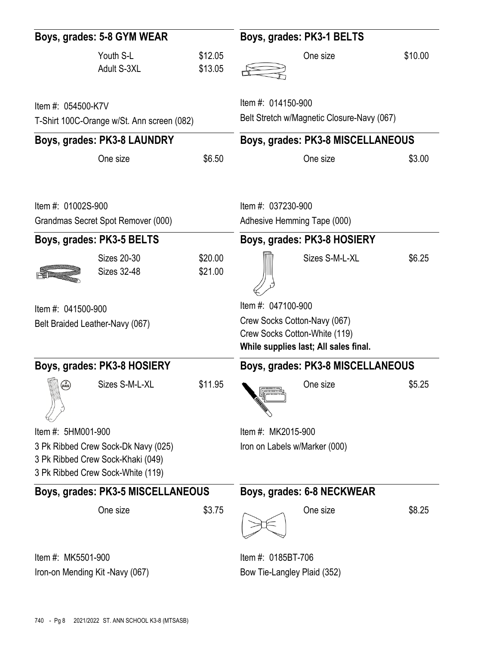| Boys, grades: 5-8 GYM WEAR                       |                                                                                                               | Boys, grades: PK3-1 BELTS |                    |                                                                                                        |         |  |
|--------------------------------------------------|---------------------------------------------------------------------------------------------------------------|---------------------------|--------------------|--------------------------------------------------------------------------------------------------------|---------|--|
|                                                  | Youth S-L<br>Adult S-3XL                                                                                      | \$12.05<br>\$13.05        |                    | One size                                                                                               | \$10.00 |  |
| Item #: 054500-K7V                               | T-Shirt 100C-Orange w/St. Ann screen (082)                                                                    |                           | Item #: 014150-900 | Belt Stretch w/Magnetic Closure-Navy (067)                                                             |         |  |
|                                                  | Boys, grades: PK3-8 LAUNDRY                                                                                   |                           |                    | Boys, grades: PK3-8 MISCELLANEOUS                                                                      |         |  |
|                                                  | One size                                                                                                      | \$6.50                    |                    | One size                                                                                               | \$3.00  |  |
| Item #: 01002S-900                               | Grandmas Secret Spot Remover (000)                                                                            |                           | Item #: 037230-900 | Adhesive Hemming Tape (000)                                                                            |         |  |
|                                                  | Boys, grades: PK3-5 BELTS                                                                                     |                           |                    | Boys, grades: PK3-8 HOSIERY                                                                            |         |  |
|                                                  | <b>Sizes 20-30</b><br><b>Sizes 32-48</b>                                                                      | \$20.00<br>\$21.00        |                    | Sizes S-M-L-XL                                                                                         | \$6.25  |  |
| Item #: 041500-900                               | Belt Braided Leather-Navy (067)                                                                               |                           | Item #: 047100-900 | Crew Socks Cotton-Navy (067)<br>Crew Socks Cotton-White (119)<br>While supplies last; All sales final. |         |  |
|                                                  | Boys, grades: PK3-8 HOSIERY                                                                                   |                           |                    | Boys, grades: PK3-8 MISCELLANEOUS                                                                      |         |  |
| $\begin{pmatrix} 3 \\ \text{pack} \end{pmatrix}$ | Sizes S-M-L-XL                                                                                                | \$11.95                   |                    | One size                                                                                               | \$5.25  |  |
| Item #: 5HM001-900                               |                                                                                                               |                           | Item #: MK2015-900 |                                                                                                        |         |  |
|                                                  | 3 Pk Ribbed Crew Sock-Dk Navy (025)<br>3 Pk Ribbed Crew Sock-Khaki (049)<br>3 Pk Ribbed Crew Sock-White (119) |                           |                    | Iron on Labels w/Marker (000)                                                                          |         |  |
|                                                  | Boys, grades: PK3-5 MISCELLANEOUS                                                                             |                           |                    | Boys, grades: 6-8 NECKWEAR                                                                             |         |  |
|                                                  | One size                                                                                                      | \$3.75                    |                    | One size                                                                                               | \$8.25  |  |
| Item #: MK5501-900                               |                                                                                                               |                           | Item #: 0185BT-706 |                                                                                                        |         |  |
|                                                  | Iron-on Mending Kit -Navy (067)                                                                               |                           |                    | Bow Tie-Langley Plaid (352)                                                                            |         |  |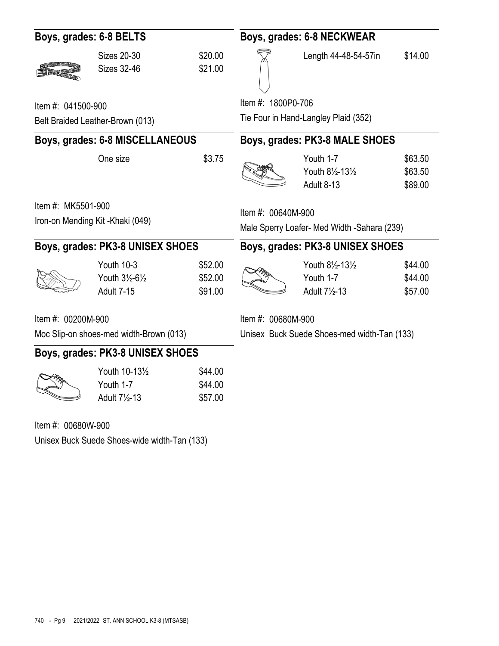| Boys, grades: 6-8 BELTS                                                |                               | Boys, grades: 6-8 NECKWEAR                                                                                                                              |                                                |                                                                                                                                  |
|------------------------------------------------------------------------|-------------------------------|---------------------------------------------------------------------------------------------------------------------------------------------------------|------------------------------------------------|----------------------------------------------------------------------------------------------------------------------------------|
| <b>Sizes 20-30</b><br><b>Sizes 32-46</b>                               | \$20.00<br>\$21.00            |                                                                                                                                                         | Length 44-48-54-57in                           | \$14.00                                                                                                                          |
| Item #: 041500-900                                                     |                               |                                                                                                                                                         |                                                |                                                                                                                                  |
| Belt Braided Leather-Brown (013)                                       |                               |                                                                                                                                                         |                                                |                                                                                                                                  |
|                                                                        |                               |                                                                                                                                                         |                                                |                                                                                                                                  |
| One size                                                               | \$3.75                        |                                                                                                                                                         | Youth 1-7<br>Youth 81/2-131/2<br>Adult 8-13    | \$63.50<br>\$63.50<br>\$89.00                                                                                                    |
| Item #: MK5501-900<br>Iron-on Mending Kit-Khaki (049)                  |                               | Item #: 00640M-900<br>Male Sperry Loafer- Med Width -Sahara (239)                                                                                       |                                                |                                                                                                                                  |
|                                                                        |                               |                                                                                                                                                         |                                                |                                                                                                                                  |
| Youth 10-3<br>Youth 31/2-61/2<br>Adult 7-15                            | \$52.00<br>\$52.00<br>\$91.00 |                                                                                                                                                         | Youth 81/2-131/2<br>Youth 1-7<br>Adult 71/2-13 | \$44.00<br>\$44.00<br>\$57.00                                                                                                    |
| Item #: 00200M-900                                                     |                               | Item #: 00680M-900                                                                                                                                      |                                                |                                                                                                                                  |
| Moc Slip-on shoes-med width-Brown (013)                                |                               | Unisex Buck Suede Shoes-med width-Tan (133)                                                                                                             |                                                |                                                                                                                                  |
|                                                                        |                               |                                                                                                                                                         |                                                |                                                                                                                                  |
| Youth 10-131/2<br>Youth 1-7<br>Adult 7 <sup>1</sup> / <sub>2</sub> -13 | \$44.00<br>\$44.00<br>\$57.00 |                                                                                                                                                         |                                                |                                                                                                                                  |
| Item #: 00680W-900                                                     |                               |                                                                                                                                                         |                                                |                                                                                                                                  |
|                                                                        |                               |                                                                                                                                                         |                                                |                                                                                                                                  |
|                                                                        |                               | Boys, grades: 6-8 MISCELLANEOUS<br>Boys, grades: PK3-8 UNISEX SHOES<br>Boys, grades: PK3-8 UNISEX SHOES<br>Unisex Buck Suede Shoes-wide width-Tan (133) |                                                | Item #: 1800P0-706<br>Tie Four in Hand-Langley Plaid (352)<br>Boys, grades: PK3-8 MALE SHOES<br>Boys, grades: PK3-8 UNISEX SHOES |